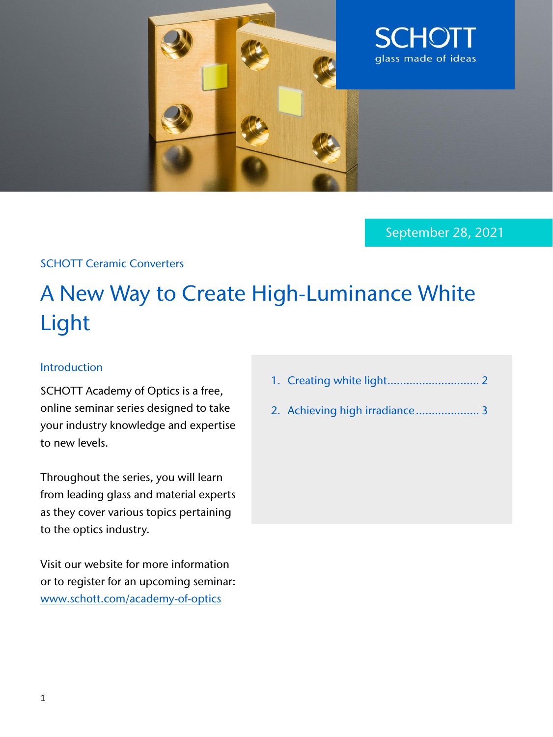

September 28, 2021

## SCHOTT Ceramic Converters

# A New Way to Create High-Luminance White Light

#### Introduction

SCHOTT Academy of Optics is a free, online seminar series designed to take your industry knowledge and expertise to new levels.

Throughout the series, you will learn from leading glass and material experts as they cover various topics pertaining to the optics industry.

Visit our website for more information or to register for an upcoming seminar: [www.schott.com/academy-of-optics](https://web.cvent.com/event/4e75919d-5a35-4140-b94b-95336562b4b8/summary)

- 1. Creating white light............................. 2
- 2. Achieving high irradiance.................... 3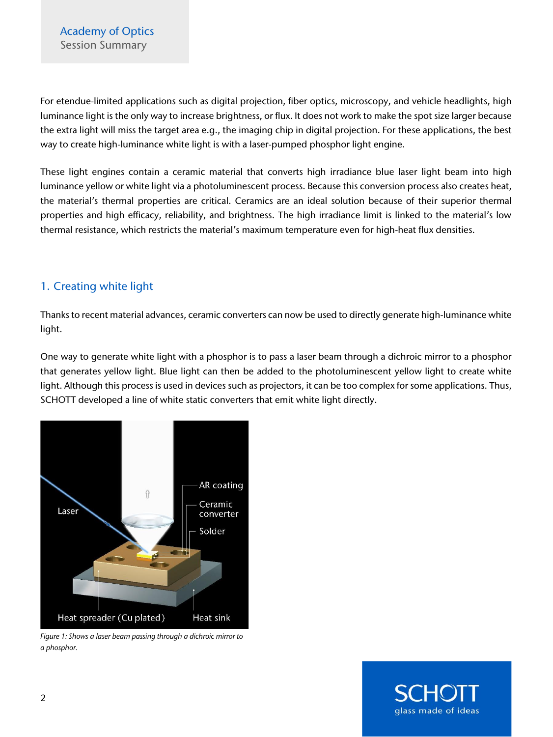For etendue-limited applications such as digital projection, fiber optics, microscopy, and vehicle headlights, high luminance light is the only way to increase brightness, or flux. It does not work to make the spot size larger because the extra light will miss the target area e.g., the imaging chip in digital projection. For these applications, the best way to create high-luminance white light is with a laser-pumped phosphor light engine.

These light engines contain a ceramic material that converts high irradiance blue laser light beam into high luminance yellow or white light via a photoluminescent process. Because this conversion process also creates heat, the material's thermal properties are critical. Ceramics are an ideal solution because of their superior thermal properties and high efficacy, reliability, and brightness. The high irradiance limit is linked to the material's low thermal resistance, which restricts the material's maximum temperature even for high-heat flux densities.

## 1. Creating white light

Thanks to recent material advances, ceramic converters can now be used to directly generate high-luminance white light.

One way to generate white light with a phosphor is to pass a laser beam through a dichroic mirror to a phosphor that generates yellow light. Blue light can then be added to the photoluminescent yellow light to create white light. Although this process is used in devices such as projectors, it can be too complex for some applications. Thus, SCHOTT developed a line of white static converters that emit white light directly.



*Figure 1: Shows a laser beam passing through a dichroic mirror to a phosphor.* 

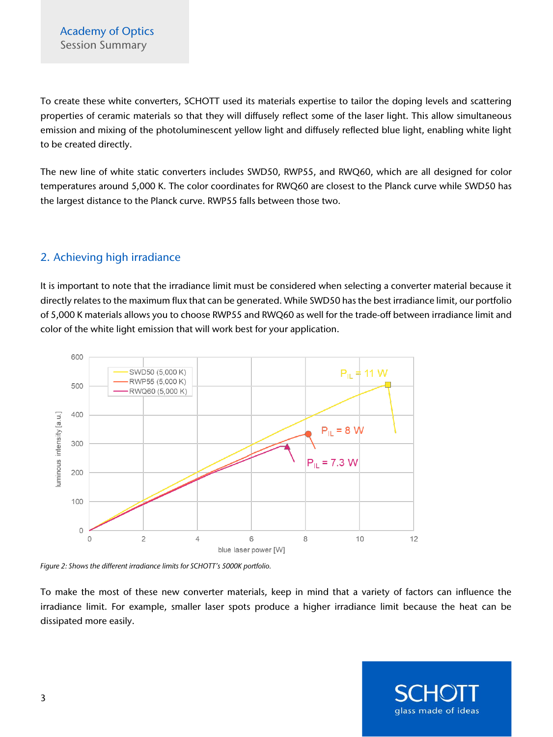To create these white converters, SCHOTT used its materials expertise to tailor the doping levels and scattering properties of ceramic materials so that they will diffusely reflect some of the laser light. This allow simultaneous emission and mixing of the photoluminescent yellow light and diffusely reflected blue light, enabling white light to be created directly.

The new line of white static converters includes SWD50, RWP55, and RWQ60, which are all designed for color temperatures around 5,000 K. The color coordinates for RWQ60 are closest to the Planck curve while SWD50 has the largest distance to the Planck curve. RWP55 falls between those two.

# 2. Achieving high irradiance

It is important to note that the irradiance limit must be considered when selecting a converter material because it directly relates to the maximum flux that can be generated. While SWD50 has the best irradiance limit, our portfolio of 5,000 K materials allows you to choose RWP55 and RWQ60 as well for the trade-off between irradiance limit and color of the white light emission that will work best for your application.



*Figure 2: Shows the different irradiance limits for SCHOTT's 5000K portfolio.* 

To make the most of these new converter materials, keep in mind that a variety of factors can influence the irradiance limit. For example, smaller laser spots produce a higher irradiance limit because the heat can be dissipated more easily.